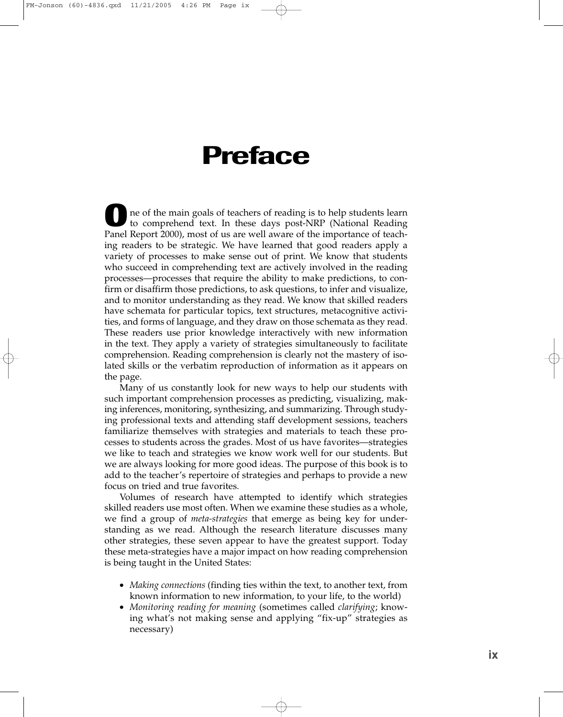## **Preface**

ne of the main goals of teachers of reading is to help students learn to comprehend text. In these days post-NRP (National Reading Panel Report 2000), most of us are well aware of the importance of teaching readers to be strategic. We have learned that good readers apply a variety of processes to make sense out of print. We know that students who succeed in comprehending text are actively involved in the reading processes—processes that require the ability to make predictions, to confirm or disaffirm those predictions, to ask questions, to infer and visualize, and to monitor understanding as they read. We know that skilled readers have schemata for particular topics, text structures, metacognitive activities, and forms of language, and they draw on those schemata as they read. These readers use prior knowledge interactively with new information in the text. They apply a variety of strategies simultaneously to facilitate comprehension. Reading comprehension is clearly not the mastery of isolated skills or the verbatim reproduction of information as it appears on the page.

Many of us constantly look for new ways to help our students with such important comprehension processes as predicting, visualizing, making inferences, monitoring, synthesizing, and summarizing. Through studying professional texts and attending staff development sessions, teachers familiarize themselves with strategies and materials to teach these processes to students across the grades. Most of us have favorites—strategies we like to teach and strategies we know work well for our students. But we are always looking for more good ideas. The purpose of this book is to add to the teacher's repertoire of strategies and perhaps to provide a new focus on tried and true favorites.

Volumes of research have attempted to identify which strategies skilled readers use most often. When we examine these studies as a whole, we find a group of *meta-strategies* that emerge as being key for understanding as we read. Although the research literature discusses many other strategies, these seven appear to have the greatest support. Today these meta-strategies have a major impact on how reading comprehension is being taught in the United States:

- *Making connections* (finding ties within the text, to another text, from known information to new information, to your life, to the world)
- *Monitoring reading for meaning* (sometimes called *clarifying*; knowing what's not making sense and applying "fix-up" strategies as necessary)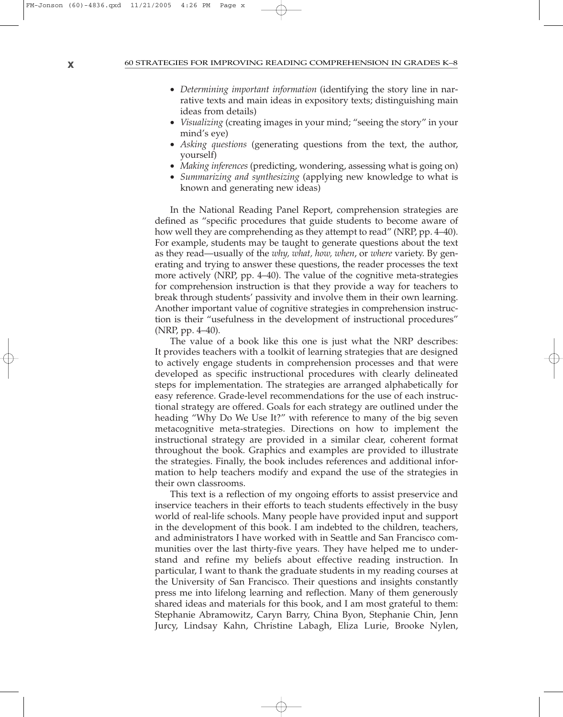## **x** 60 STRATEGIES FOR IMPROVING READING COMPREHENSION IN GRADES K–8

- *Determining important information* (identifying the story line in narrative texts and main ideas in expository texts; distinguishing main ideas from details)
- *Visualizing* (creating images in your mind; "seeing the story" in your mind's eye)
- *Asking questions* (generating questions from the text, the author, yourself)
- *Making inferences* (predicting, wondering, assessing what is going on)
- *Summarizing and synthesizing* (applying new knowledge to what is known and generating new ideas)

In the National Reading Panel Report, comprehension strategies are defined as "specific procedures that guide students to become aware of how well they are comprehending as they attempt to read" (NRP, pp. 4–40). For example, students may be taught to generate questions about the text as they read—usually of the *why, what, how, when*, or *where* variety. By generating and trying to answer these questions, the reader processes the text more actively (NRP, pp. 4–40). The value of the cognitive meta-strategies for comprehension instruction is that they provide a way for teachers to break through students' passivity and involve them in their own learning. Another important value of cognitive strategies in comprehension instruction is their "usefulness in the development of instructional procedures" (NRP, pp. 4–40).

The value of a book like this one is just what the NRP describes: It provides teachers with a toolkit of learning strategies that are designed to actively engage students in comprehension processes and that were developed as specific instructional procedures with clearly delineated steps for implementation. The strategies are arranged alphabetically for easy reference. Grade-level recommendations for the use of each instructional strategy are offered. Goals for each strategy are outlined under the heading "Why Do We Use It?" with reference to many of the big seven metacognitive meta-strategies. Directions on how to implement the instructional strategy are provided in a similar clear, coherent format throughout the book. Graphics and examples are provided to illustrate the strategies. Finally, the book includes references and additional information to help teachers modify and expand the use of the strategies in their own classrooms.

This text is a reflection of my ongoing efforts to assist preservice and inservice teachers in their efforts to teach students effectively in the busy world of real-life schools. Many people have provided input and support in the development of this book. I am indebted to the children, teachers, and administrators I have worked with in Seattle and San Francisco communities over the last thirty-five years. They have helped me to understand and refine my beliefs about effective reading instruction. In particular, I want to thank the graduate students in my reading courses at the University of San Francisco. Their questions and insights constantly press me into lifelong learning and reflection. Many of them generously shared ideas and materials for this book, and I am most grateful to them: Stephanie Abramowitz, Caryn Barry, China Byon, Stephanie Chin, Jenn Jurcy, Lindsay Kahn, Christine Labagh, Eliza Lurie, Brooke Nylen,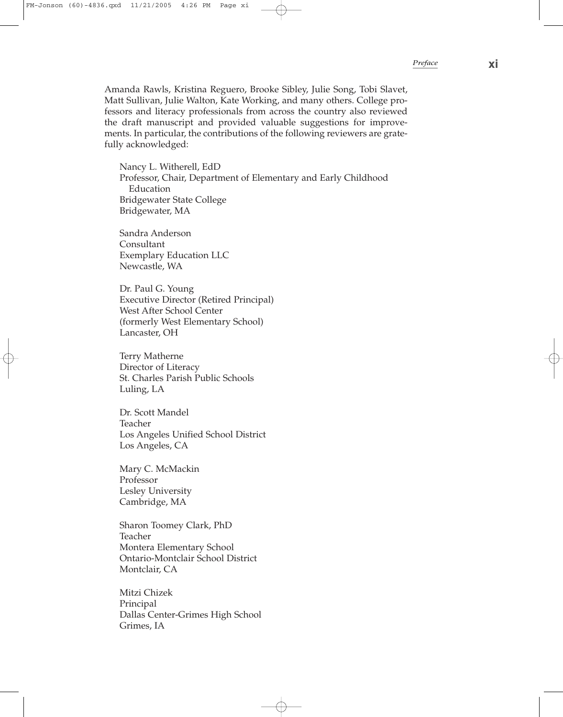Amanda Rawls, Kristina Reguero, Brooke Sibley, Julie Song, Tobi Slavet, Matt Sullivan, Julie Walton, Kate Working, and many others. College professors and literacy professionals from across the country also reviewed the draft manuscript and provided valuable suggestions for improvements. In particular, the contributions of the following reviewers are gratefully acknowledged:

Nancy L. Witherell, EdD Professor, Chair, Department of Elementary and Early Childhood Education Bridgewater State College Bridgewater, MA

Sandra Anderson Consultant Exemplary Education LLC Newcastle, WA

Dr. Paul G. Young Executive Director (Retired Principal) West After School Center (formerly West Elementary School) Lancaster, OH

Terry Matherne Director of Literacy St. Charles Parish Public Schools Luling, LA

Dr. Scott Mandel Teacher Los Angeles Unified School District Los Angeles, CA

Mary C. McMackin Professor Lesley University Cambridge, MA

Sharon Toomey Clark, PhD Teacher Montera Elementary School Ontario-Montclair School District Montclair, CA

Mitzi Chizek Principal Dallas Center-Grimes High School Grimes, IA